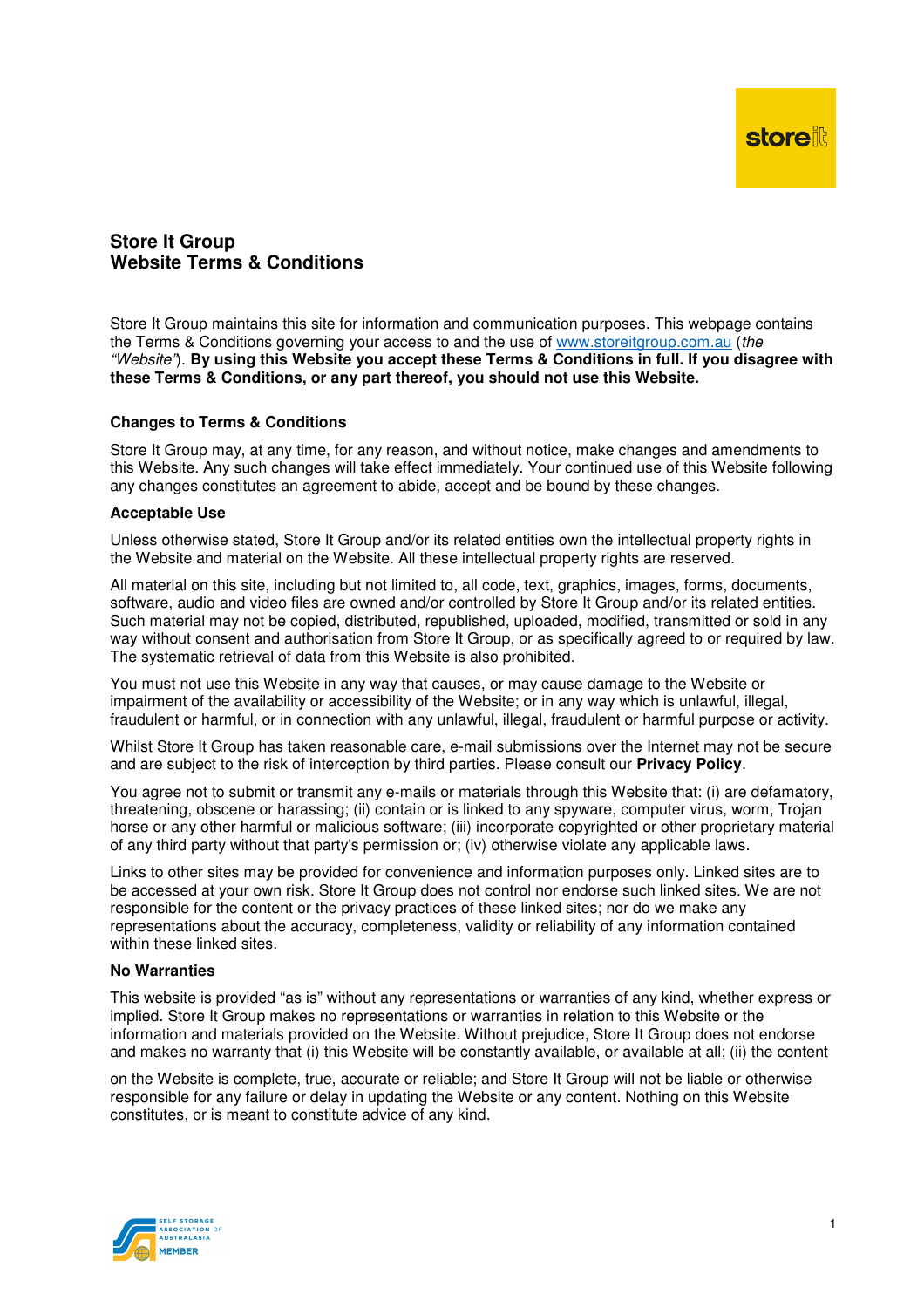# **Store It Group Website Terms & Conditions**

Store It Group maintains this site for information and communication purposes. This webpage contains the Terms & Conditions governing your access to and the use of www.storeitgroup.com.au (the "Website"). **By using this Website you accept these Terms & Conditions in full. If you disagree with these Terms & Conditions, or any part thereof, you should not use this Website.** 

# **Changes to Terms & Conditions**

Store It Group may, at any time, for any reason, and without notice, make changes and amendments to this Website. Any such changes will take effect immediately. Your continued use of this Website following any changes constitutes an agreement to abide, accept and be bound by these changes.

## **Acceptable Use**

Unless otherwise stated. Store It Group and/or its related entities own the intellectual property rights in the Website and material on the Website. All these intellectual property rights are reserved.

All material on this site, including but not limited to, all code, text, graphics, images, forms, documents, software, audio and video files are owned and/or controlled by Store It Group and/or its related entities. Such material may not be copied, distributed, republished, uploaded, modified, transmitted or sold in any way without consent and authorisation from Store It Group, or as specifically agreed to or required by law. The systematic retrieval of data from this Website is also prohibited.

You must not use this Website in any way that causes, or may cause damage to the Website or impairment of the availability or accessibility of the Website; or in any way which is unlawful, illegal, fraudulent or harmful, or in connection with any unlawful, illegal, fraudulent or harmful purpose or activity.

Whilst Store It Group has taken reasonable care, e-mail submissions over the Internet may not be secure and are subject to the risk of interception by third parties. Please consult our **Privacy Policy**.

You agree not to submit or transmit any e-mails or materials through this Website that: (i) are defamatory, threatening, obscene or harassing; (ii) contain or is linked to any spyware, computer virus, worm, Trojan horse or any other harmful or malicious software; (iii) incorporate copyrighted or other proprietary material of any third party without that party's permission or; (iv) otherwise violate any applicable laws.

Links to other sites may be provided for convenience and information purposes only. Linked sites are to be accessed at your own risk. Store It Group does not control nor endorse such linked sites. We are not responsible for the content or the privacy practices of these linked sites; nor do we make any representations about the accuracy, completeness, validity or reliability of any information contained within these linked sites

## **No Warranties**

This website is provided "as is" without any representations or warranties of any kind, whether express or implied. Store It Group makes no representations or warranties in relation to this Website or the information and materials provided on the Website. Without prejudice, Store It Group does not endorse and makes no warranty that (i) this Website will be constantly available, or available at all; (ii) the content

on the Website is complete, true, accurate or reliable; and Store It Group will not be liable or otherwise responsible for any failure or delay in updating the Website or any content. Nothing on this Website constitutes, or is meant to constitute advice of any kind.